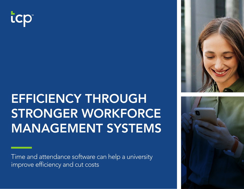

# EFFICIENCY THROUGH STRONGER WORKFORCE MANAGEMENT SYSTEMS

Time and attendance software can help a university improve efficiency and cut costs



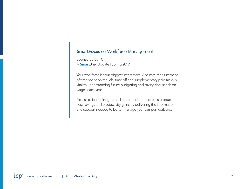### **SmartFocus** on Workforce Management

Sponsored by TCP A SmartBrief Update | Spring 2019

Your workforce is your biggest investment. Accurate measurement of time spent on the job, time off and supplementary paid tasks is vital to understanding future budgeting and saving thousands on wages each year.

Access to better insights and more efficient processes produces cost savings and productivity gains by delivering the information and support needed to better manage your campus workforce.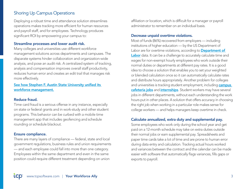### Shoring Up Campus Operations

Deploying a robust time and attendance solution streamlines operations makes tracking more efficient for human resources and payroll staff, and for employees. Technology produces significant ROI by empowering your campus to:

#### Streamline processes and lower audit risk.

Many colleges and universities use different workforce management solutions across departments and campuses. The disparate systems hinder collaboration and organization-wide analysis, and pose an audit risk. A centralized system of tracking, analysis and compensation improves overall staff productivity, reduces human error and creates an edit trail that manages risk more effectively.

### See how Stephen F. Austin State University unified its workforce management.

### Reduce fraud.

Time card fraud is a serious offense in any instance, especially on state or federal grants and in work-study and other student programs. This behavior can be curbed with a mobile time management app that includes geofencing and schedule rounding or schedule blackout.

### Ensure compliance.

There are many layers of compliance — federal, state and local government regulations, business rules and union requirements — and each employee could fall into more than one category. Employees within the same department and even in the same position could require different treatment depending on union

affiliation or location, which is difficult for a manager or payroll administrator to remember on an individual basis.

### Decrease unpaid overtime violations.

Most of funds (86%) recovered from employers — including institutions of higher education — by the US Department of Labor are for overtime violations, according to **Department of** [Labor](https://www.dol.gov/agencies/whd/data/charts#panel5) data. It can be a challenge to accurately calculate time and wages for non-exempt hourly employees who work outside their normal duties or departments at different pay rates. It is a good idea to choose a solution that enables you to set your weighted or blended calculation once so it can automatically calculate rates and distribute hours appropriately. Another problem for colleges and universities is tracking student employment, including **campus** [cafeteria jobs](https://www.providencejournal.com/news/20190130/brown-university-students-sue-for-back-pay-from-dining-hall-jobs) and [internships](https://www.ibtimes.com/internship-debate-spills-public-sector-university-california-san-francisco-ordered-1376653). Student workers may have several jobs in different departments, without each understanding the work hours put in other places. A solution that offers accuracy in choosing the right job when working in a particular role makes sense for college workers — and helps managers keep overtime in check.

### Calculate annualized, extra duty and supplemental pay.

Some employees who work only during the school year and get paid on a 12-month schedule may take on extra duties outside their normal jobs or earn supplemental pay. Spreadsheets and paper time cards take a lot of time and are prone to human error during data entry and calculation. Tracking actual hours worked and variances between the contract and the calendar can be made easier with software that automatically flags variances, fills gaps or exports to payroll.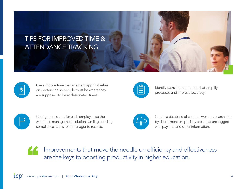### TIPS FOR IMPROVED TIME & ATTENDANCE TRACKING



Use a mobile time management app that relies on geofencing so people must be where they are supposed to be at designated times.



Identify tasks for automation that simplify processes and improve accuracy.



Configure rule sets for each employee so the workforce management solution can flag pending compliance issues for a manager to resolve.



Create a database of contract workers, searchable by department or specialty area, that are tagged with pay rate and other information.

Improvements that move the needle on efficiency and effectiveness are the keys to boosting productivity in higher education.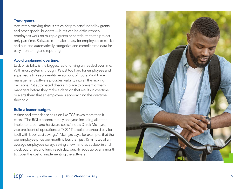### Track grants.

Accurately tracking time is critical for projects funded by grants and other special budgets — but it can be difficult when employees work on multiple grants or contribute to the project only part time. Software can make it easy for employees to clock in and out, and automatically categorize and compile time data for easy monitoring and reporting.

### Avoid unplanned overtime.

Lack of visibility is the biggest factor driving unneeded overtime. With most systems, though, it's just too hard for employees and supervisors to keep a real-time account of hours. Workforce management software provides visibility into all the moving decisions. Put automated checks in place to prevent or warn managers before they make a decision that results in overtime or alerts them that an employee is approaching the overtime threshold.

### Build a leaner budget.

A time and attendance solution like TCP saves more than it costs. "The ROI is approximately one year, including all of the implementation and hardware costs," notes Derek McIntyre, vice president of operations at TCP. "The solution should pay for itself with labor cost savings." McIntyre says, for example, that the per-employee price per month is less than just 15 minutes of an average employee's salary. Saving a few minutes at clock in and clock out, or around lunch each day, quickly adds up over a month to cover the cost of implementing the software.

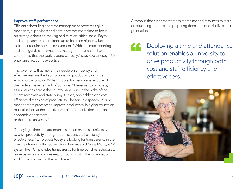### Improve staff performance.

Efficient scheduling and time management processes give managers, supervisors and administrators more time to focus on strategic decision-making and mission-critical tasks. Payroll and compliance staff are freed up to focus on higher-value tasks that require human involvement. "With accurate reporting and configurable automations, management and staff have confidence that the work is done correctly," says Rob Lindsey, TCP enterprise accounts executive.

Improvements that move the needle on efficiency and effectiveness are the keys to boosting productivity in higher education, according William Poole, former chief executive of the Federal Reserve Bank of St. Louis. "Measures to cut costs, as universities across the country have done in the wake of the recent recession and state budget crises, only address the costefficiency dimension of productivity," he said in a speech. "Sound management practices to improve productivity in higher education must also look at the effectiveness of the organization, be it an academic department or the entire university."

Deploying a time and attendance solution enables a university to drive productivity through both cost and staff efficiency and effectiveness. "Employees today are looking for transparency in the way their time is collected and how they are paid," says McIntyre."A system like TCP provides transparency for time punches, schedules, leave balances, and more — promoting trust in the organization and further motivating the workforce."

A campus that runs smoothly has more time and resources to focus on educating students and preparing them for successful lives after graduation.

Deploying a time and attendance solution enables a university to drive productivity through both cost and staff efficiency and effectiveness.

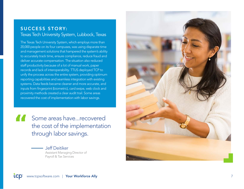### SUCCESS STORY: Texas Tech University System, Lubbock, Texas

The Texas Tech University System, which employs more than 20,000 people on its four campuses, was using disparate time and management solutions that hampered the system's ability to accurately track time, ensure compliance, reduce fraud and deliver accurate compensation. The situation also reduced staff productivity because of a lot of manual work, paper records and lack of interoperability. TTUS deployed TCP to unify the process across the entire system, providing optimum reporting capabilities and seamless integration with existing systems. Data feeds became cleaner and more accurate, and inputs from fingerprint (biometric), card swipe, web clock and proximity methods created a clear audit trail. Some areas recovered the cost of implementation with labor savings.

Some areas have...recovered the cost of the implementation " through labor savings.

> Jeff Deitiker Assistant Managing Director of Payroll & Tax Services